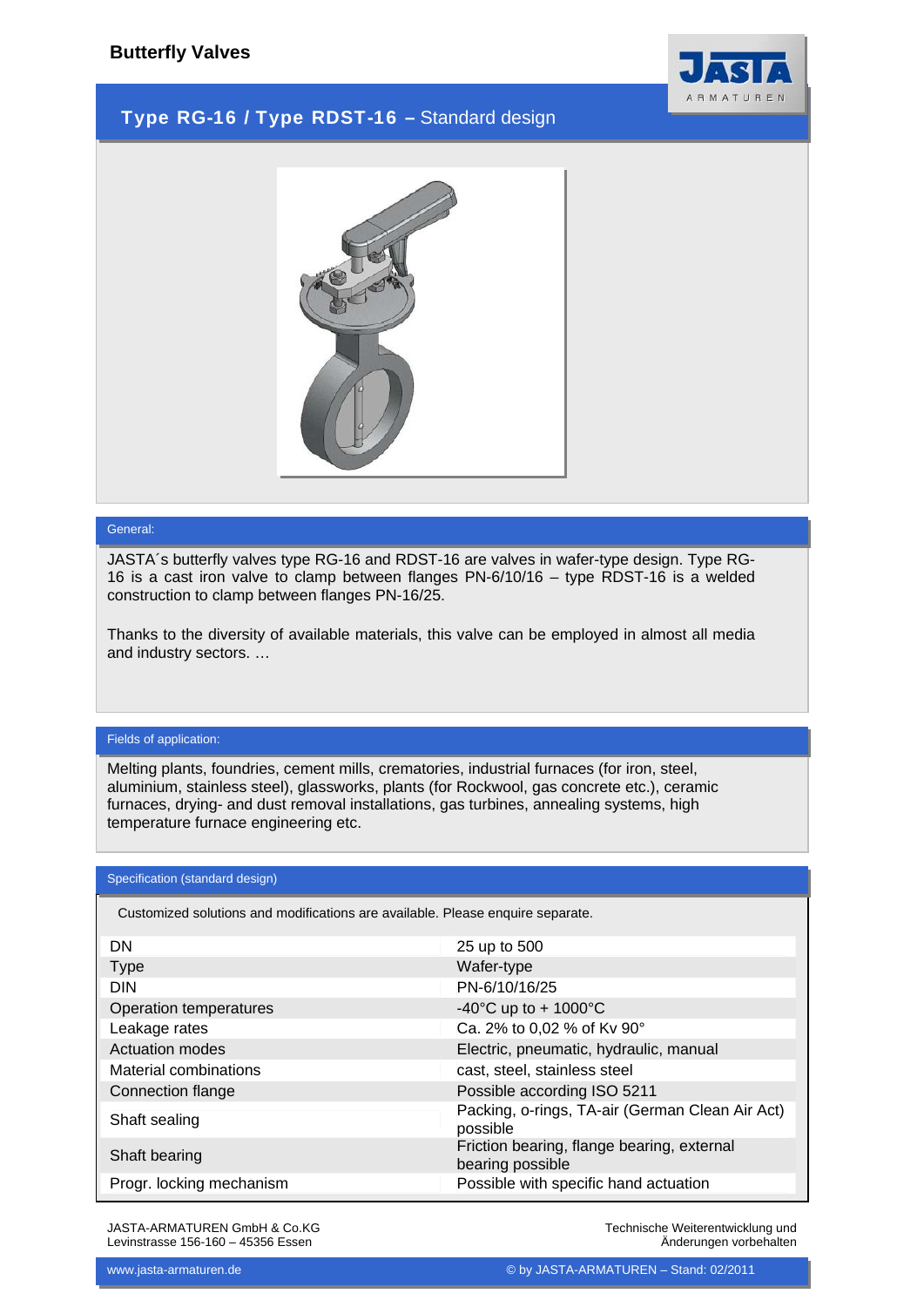

## Type RG-16 / Type RDST-16 – Standard design



### General:

JASTA´s butterfly valves type RG-16 and RDST-16 are valves in wafer-type design. Type RG-16 is a cast iron valve to clamp between flanges PN-6/10/16 – type RDST-16 is a welded construction to clamp between flanges PN-16/25.

Thanks to the diversity of available materials, this valve can be employed in almost all media and industry sectors. …

### Fields of application:

Melting plants, foundries, cement mills, crematories, industrial furnaces (for iron, steel, aluminium, stainless steel), glassworks, plants (for Rockwool, gas concrete etc.), ceramic furnaces, drying- and dust removal installations, gas turbines, annealing systems, high temperature furnace engineering etc.

#### Specification (standard design)

Customized solutions and modifications are available. Please enquire separate.

| 25 up to 500                                                   |
|----------------------------------------------------------------|
| Wafer-type                                                     |
| PN-6/10/16/25                                                  |
| -40°C up to + 1000°C                                           |
| Ca. 2% to 0,02 % of Kv 90°                                     |
| Electric, pneumatic, hydraulic, manual                         |
| cast, steel, stainless steel                                   |
| Possible according ISO 5211                                    |
| Packing, o-rings, TA-air (German Clean Air Act)<br>possible    |
| Friction bearing, flange bearing, external<br>bearing possible |
| Possible with specific hand actuation                          |
|                                                                |

JASTA-ARMATUREN GmbH & Co.KG Levinstrasse 156-160 – 45356 Essen

Technische Weiterentwicklung und Änderungen vorbehalten